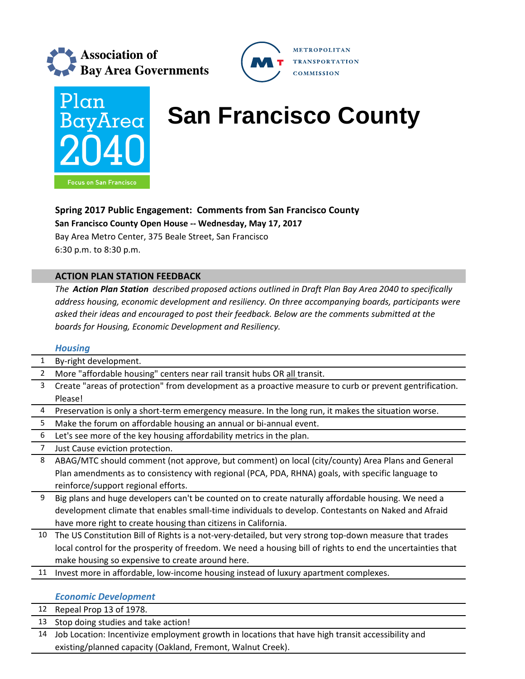





# **Plan BayArea** San Francisco County

## **Spring 2017 Public Engagement: Comments from San Francisco County**

**San Francisco County Open House ‐‐ Wednesday, May 17, 2017**

Bay Area Metro Center, 375 Beale Street, San Francisco 6:30 p.m. to 8:30 p.m.

## **ACTION PLAN STATION FEEDBACK**

*The Action Plan Station described proposed actions outlined in Draft Plan Bay Area 2040 to specifically address housing, economic development and resiliency. On three accompanying boards, participants were asked their ideas and encouraged to post their feedback. Below are the comments submitted at the boards for Housing, Economic Development and Resiliency.*

### *Housing*

| $\mathbf{1}$   | By-right development.                                                                                       |
|----------------|-------------------------------------------------------------------------------------------------------------|
| $\overline{2}$ | More "affordable housing" centers near rail transit hubs OR all transit.                                    |
| 3              | Create "areas of protection" from development as a proactive measure to curb or prevent gentrification.     |
|                | Please!                                                                                                     |
| 4              | Preservation is only a short-term emergency measure. In the long run, it makes the situation worse.         |
| 5              | Make the forum on affordable housing an annual or bi-annual event.                                          |
| 6              | Let's see more of the key housing affordability metrics in the plan.                                        |
| 7              | Just Cause eviction protection.                                                                             |
| 8              | ABAG/MTC should comment (not approve, but comment) on local (city/county) Area Plans and General            |
|                | Plan amendments as to consistency with regional (PCA, PDA, RHNA) goals, with specific language to           |
|                | reinforce/support regional efforts.                                                                         |
| 9              | Big plans and huge developers can't be counted on to create naturally affordable housing. We need a         |
|                | development climate that enables small-time individuals to develop. Contestants on Naked and Afraid         |
|                | have more right to create housing than citizens in California.                                              |
| 10             | The US Constitution Bill of Rights is a not-very-detailed, but very strong top-down measure that trades     |
|                | local control for the prosperity of freedom. We need a housing bill of rights to end the uncertainties that |
|                | make housing so expensive to create around here.                                                            |
| 11             | Invest more in affordable, low-income housing instead of luxury apartment complexes.                        |
|                |                                                                                                             |
|                | <b>Economic Development</b>                                                                                 |
| 12             | Repeal Prop 13 of 1978.                                                                                     |
|                |                                                                                                             |

- 13 Stop doing studies and take action!
- 14 Job Location: Incentivize employment growth in locations that have high transit accessibility and existing/planned capacity (Oakland, Fremont, Walnut Creek).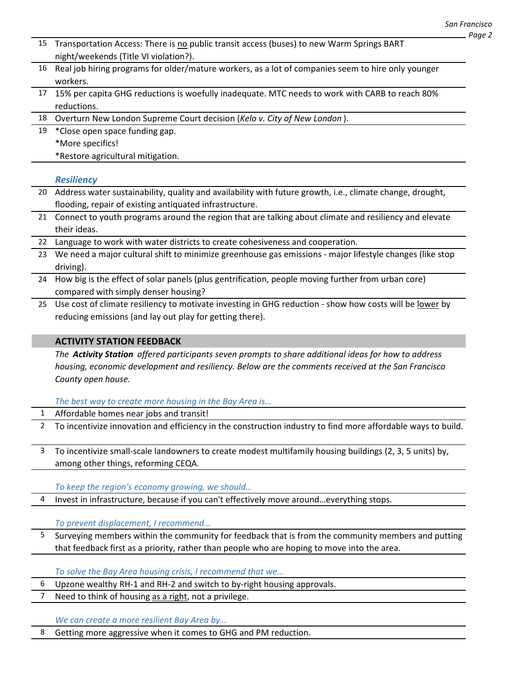| 15 | Transportation Access: There is no public transit access (buses) to new Warm Springs BART<br>night/weekends (Title VI violation?). |
|----|------------------------------------------------------------------------------------------------------------------------------------|
| 16 | Real job hiring programs for older/mature workers, as a lot of companies seem to hire only younger<br>workers.                     |
| 17 | 15% per capita GHG reductions is woefully inadequate. MTC needs to work with CARB to reach 80%<br>reductions.                      |
| 18 | Overturn New London Supreme Court decision (Kelo v. City of New London).                                                           |
| 19 | *Close open space funding gap.                                                                                                     |
|    | *More specifics!                                                                                                                   |
|    | *Restore agricultural mitigation.                                                                                                  |
|    | <b>Resiliency</b>                                                                                                                  |
| 20 | Address water sustainability, quality and availability with future growth, i.e., climate change, drought,                          |
|    | flooding, repair of existing antiquated infrastructure.                                                                            |
| 21 | Connect to youth programs around the region that are talking about climate and resiliency and elevate                              |
|    | their ideas.                                                                                                                       |
| 22 | Language to work with water districts to create cohesiveness and cooperation.                                                      |
| 23 | We need a major cultural shift to minimize greenhouse gas emissions - major lifestyle changes (like stop                           |
|    | driving).                                                                                                                          |
| 24 | How big is the effect of solar panels (plus gentrification, people moving further from urban core)                                 |
|    | compared with simply denser housing?                                                                                               |
| 25 | Use cost of climate resiliency to motivate investing in GHG reduction - show how costs will be lower by                            |
|    | reducing emissions (and lay out play for getting there).                                                                           |
|    |                                                                                                                                    |
|    | <b>ACTIVITY STATION FEEDBACK</b>                                                                                                   |
|    | The Activity Station offered participants seven prompts to share additional ideas for how to address                               |
|    | housing, economic development and resiliency. Below are the comments received at the San Francisco                                 |
|    | County open house.                                                                                                                 |
|    |                                                                                                                                    |
|    | The best way to create more housing in the Bay Area is                                                                             |
|    |                                                                                                                                    |
|    | Affordable homes near jobs and transit!                                                                                            |
| 2  | To incentivize innovation and efficiency in the construction industry to find more affordable ways to build.                       |
| 3  |                                                                                                                                    |
|    | To incentivize small-scale landowners to create modest multifamily housing buildings (2, 3, 5 units) by,                           |
|    | among other things, reforming CEQA.                                                                                                |
|    | To keep the region's economy growing, we should                                                                                    |
| 4  | Invest in infrastructure, because if you can't effectively move aroundeverything stops.                                            |
|    |                                                                                                                                    |
|    | To prevent displacement, I recommend                                                                                               |
| 5  | Surveying members within the community for feedback that is from the community members and putting                                 |
|    | that feedback first as a priority, rather than people who are hoping to move into the area.                                        |
|    |                                                                                                                                    |
|    | To solve the Bay Area housing crisis, I recommend that we                                                                          |
| 6  | Upzone wealthy RH-1 and RH-2 and switch to by-right housing approvals.                                                             |
| 7  | Need to think of housing as a right, not a privilege.                                                                              |
|    |                                                                                                                                    |
|    | We can create a more resilient Bay Area by                                                                                         |
| 8  | Getting more aggressive when it comes to GHG and PM reduction.                                                                     |